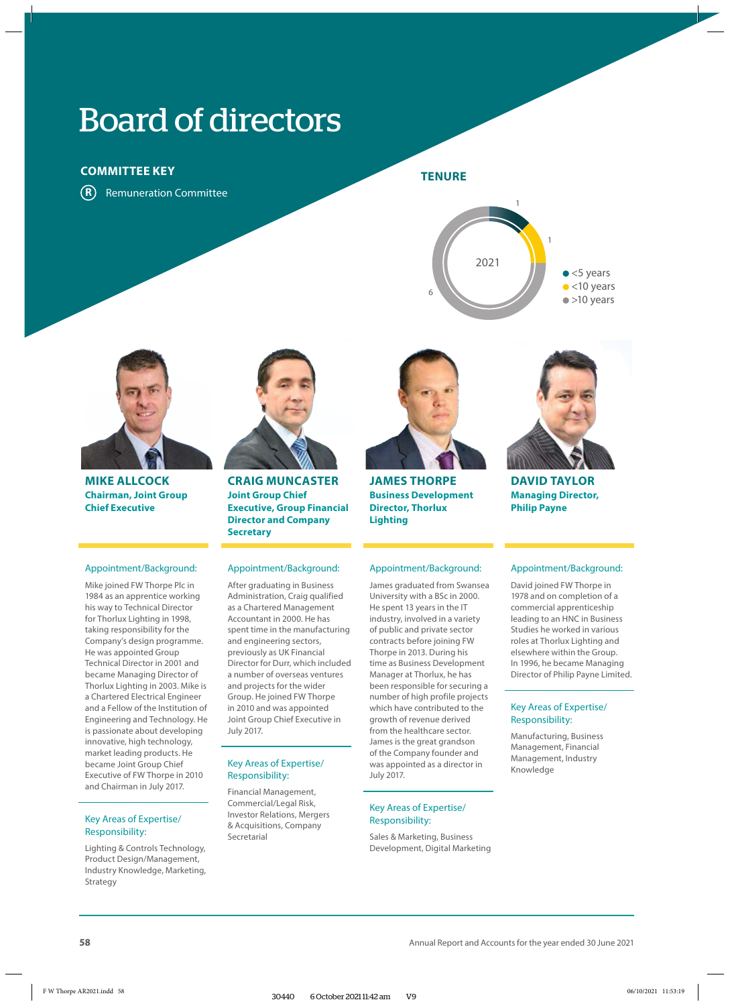# Board of directors

# **COMMITTEE KEY**

**R** Remuneration Committee

# **TENURE**





**MIKE ALLCOCK Chairman, Joint Group Chief Executive**

## Appointment/Background:

Mike joined FW Thorpe Plc in 1984 as an apprentice working his way to Technical Director for Thorlux Lighting in 1998, taking responsibility for the Company's design programme. He was appointed Group Technical Director in 2001 and became Managing Director of Thorlux Lighting in 2003. Mike is a Chartered Electrical Engineer and a Fellow of the Institution of Engineering and Technology. He is passionate about developing innovative, high technology, market leading products. He became Joint Group Chief Executive of FW Thorpe in 2010 and Chairman in July 2017.

## Key Areas of Expertise/ Responsibility:

Lighting & Controls Technology, Product Design/Management, Industry Knowledge, Marketing, Strategy



**CRAIG MUNCASTER Joint Group Chief Executive, Group Financial Director and Company Secretary**

## Appointment/Background:

After graduating in Business Administration, Craig qualified as a Chartered Management Accountant in 2000. He has spent time in the manufacturing and engineering sectors, previously as UK Financial Director for Durr, which included a number of overseas ventures and projects for the wider Group. He joined FW Thorpe in 2010 and was appointed Joint Group Chief Executive in July 2017.

## Key Areas of Expertise/ Responsibility:

Financial Management, Commercial/Legal Risk, Investor Relations, Mergers & Acquisitions, Company Secretarial



**JAMES THORPE Business Development Director, Thorlux Lighting**

### Appointment/Background:

James graduated from Swansea University with a BSc in 2000. He spent 13 years in the IT industry, involved in a variety of public and private sector contracts before joining FW Thorpe in 2013. During his time as Business Development Manager at Thorlux, he has been responsible for securing a number of high profile projects which have contributed to the growth of revenue derived from the healthcare sector. James is the great grandson of the Company founder and was appointed as a director in July 2017.

## Key Areas of Expertise/ Responsibility:

Sales & Marketing, Business Development, Digital Marketing



**DAVID TAYLOR Managing Director, Philip Payne** 

### Appointment/Background:

David joined FW Thorpe in 1978 and on completion of a commercial apprenticeship leading to an HNC in Business Studies he worked in various roles at Thorlux Lighting and elsewhere within the Group. In 1996, he became Managing Director of Philip Payne Limited.

## Key Areas of Expertise/ Responsibility:

Manufacturing, Business Management, Financial Management, Industry Knowledge